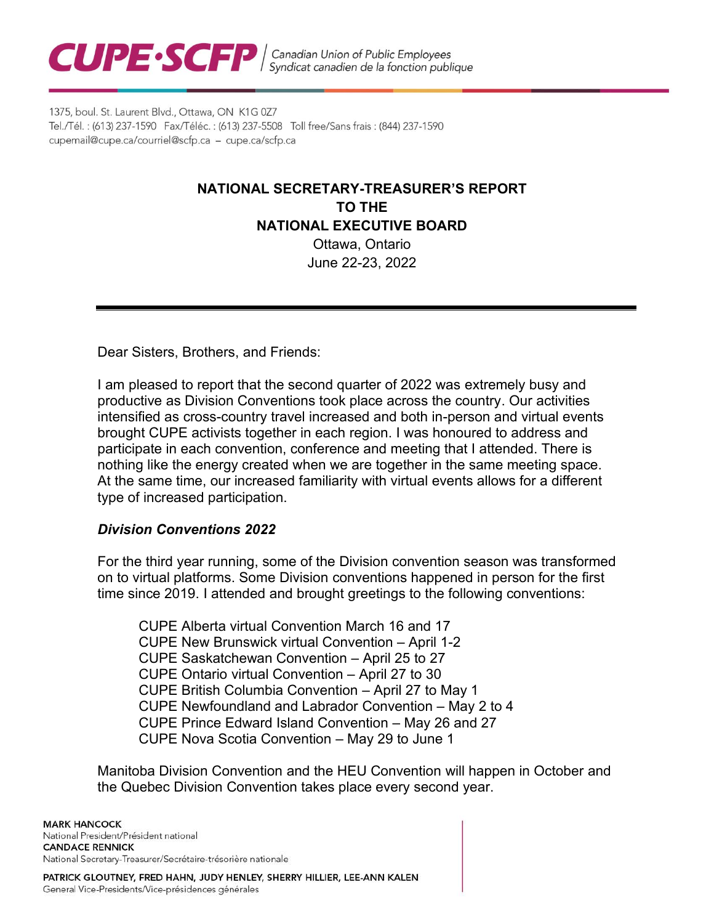

1375, boul. St. Laurent Blvd., Ottawa, ON K1G 0Z7 Tel./Tél.: (613) 237-1590 Fax/Téléc.: (613) 237-5508 Toll free/Sans frais: (844) 237-1590 cupemail@cupe.ca/courriel@scfp.ca - cupe.ca/scfp.ca

# **NATIONAL SECRETARY-TREASURER'S REPORT TO THE NATIONAL EXECUTIVE BOARD** Ottawa, Ontario

June 22-23, 2022

Dear Sisters, Brothers, and Friends:

I am pleased to report that the second quarter of 2022 was extremely busy and productive as Division Conventions took place across the country. Our activities intensified as cross-country travel increased and both in-person and virtual events brought CUPE activists together in each region. I was honoured to address and participate in each convention, conference and meeting that I attended. There is nothing like the energy created when we are together in the same meeting space. At the same time, our increased familiarity with virtual events allows for a different type of increased participation.

#### *Division Conventions 2022*

For the third year running, some of the Division convention season was transformed on to virtual platforms. Some Division conventions happened in person for the first time since 2019. I attended and brought greetings to the following conventions:

CUPE Alberta virtual Convention March 16 and 17 CUPE New Brunswick virtual Convention – April 1-2 CUPE Saskatchewan Convention – April 25 to 27 CUPE Ontario virtual Convention – April 27 to 30 CUPE British Columbia Convention – April 27 to May 1 CUPE Newfoundland and Labrador Convention – May 2 to 4 CUPE Prince Edward Island Convention – May 26 and 27 CUPE Nova Scotia Convention – May 29 to June 1

Manitoba Division Convention and the HEU Convention will happen in October and the Quebec Division Convention takes place every second year.

**MARK HANCOCK** National President/Président national **CANDACE RENNICK** National Secretary-Treasurer/Secrétaire-trésorière nationale

PATRICK GLOUTNEY, FRED HAHN, JUDY HENLEY, SHERRY HILLIER, LEE-ANN KALEN General Vice-Presidents/Vice-présidences générales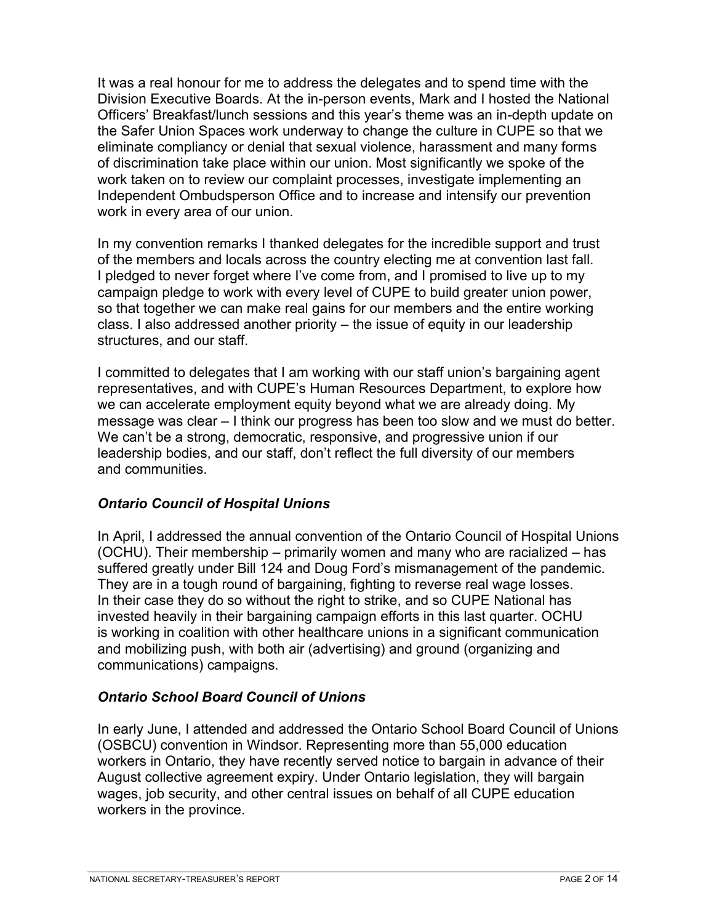It was a real honour for me to address the delegates and to spend time with the Division Executive Boards. At the in-person events, Mark and I hosted the National Officers' Breakfast/lunch sessions and this year's theme was an in-depth update on the Safer Union Spaces work underway to change the culture in CUPE so that we eliminate compliancy or denial that sexual violence, harassment and many forms of discrimination take place within our union. Most significantly we spoke of the work taken on to review our complaint processes, investigate implementing an Independent Ombudsperson Office and to increase and intensify our prevention work in every area of our union.

In my convention remarks I thanked delegates for the incredible support and trust of the members and locals across the country electing me at convention last fall. I pledged to never forget where I've come from, and I promised to live up to my campaign pledge to work with every level of CUPE to build greater union power, so that together we can make real gains for our members and the entire working class. I also addressed another priority – the issue of equity in our leadership structures, and our staff.

I committed to delegates that I am working with our staff union's bargaining agent representatives, and with CUPE's Human Resources Department, to explore how we can accelerate employment equity beyond what we are already doing. My message was clear – I think our progress has been too slow and we must do better. We can't be a strong, democratic, responsive, and progressive union if our leadership bodies, and our staff, don't reflect the full diversity of our members and communities.

## *Ontario Council of Hospital Unions*

In April, I addressed the annual convention of the Ontario Council of Hospital Unions (OCHU). Their membership – primarily women and many who are racialized – has suffered greatly under Bill 124 and Doug Ford's mismanagement of the pandemic. They are in a tough round of bargaining, fighting to reverse real wage losses. In their case they do so without the right to strike, and so CUPE National has invested heavily in their bargaining campaign efforts in this last quarter. OCHU is working in coalition with other healthcare unions in a significant communication and mobilizing push, with both air (advertising) and ground (organizing and communications) campaigns.

## *Ontario School Board Council of Unions*

In early June, I attended and addressed the Ontario School Board Council of Unions (OSBCU) convention in Windsor. Representing more than 55,000 education workers in Ontario, they have recently served notice to bargain in advance of their August collective agreement expiry. Under Ontario legislation, they will bargain wages, job security, and other central issues on behalf of all CUPE education workers in the province.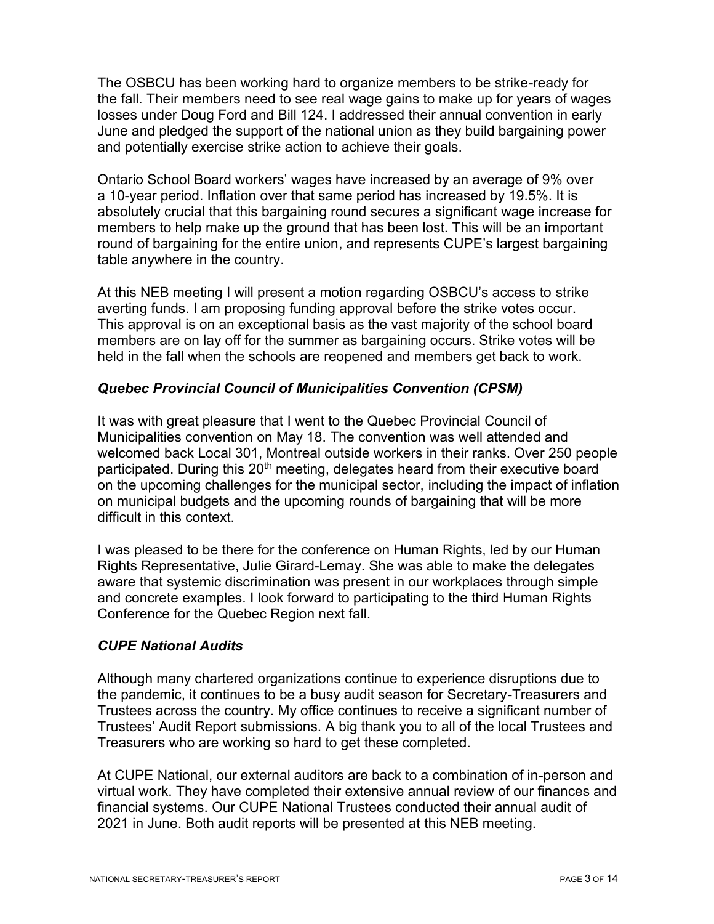The OSBCU has been working hard to organize members to be strike-ready for the fall. Their members need to see real wage gains to make up for years of wages losses under Doug Ford and Bill 124. I addressed their annual convention in early June and pledged the support of the national union as they build bargaining power and potentially exercise strike action to achieve their goals.

Ontario School Board workers' wages have increased by an average of 9% over a 10-year period. Inflation over that same period has increased by 19.5%. It is absolutely crucial that this bargaining round secures a significant wage increase for members to help make up the ground that has been lost. This will be an important round of bargaining for the entire union, and represents CUPE's largest bargaining table anywhere in the country.

At this NEB meeting I will present a motion regarding OSBCU's access to strike averting funds. I am proposing funding approval before the strike votes occur. This approval is on an exceptional basis as the vast majority of the school board members are on lay off for the summer as bargaining occurs. Strike votes will be held in the fall when the schools are reopened and members get back to work.

## *Quebec Provincial Council of Municipalities Convention (CPSM)*

It was with great pleasure that I went to the Quebec Provincial Council of Municipalities convention on May 18. The convention was well attended and welcomed back Local 301, Montreal outside workers in their ranks. Over 250 people participated. During this 20<sup>th</sup> meeting, delegates heard from their executive board on the upcoming challenges for the municipal sector, including the impact of inflation on municipal budgets and the upcoming rounds of bargaining that will be more difficult in this context.

I was pleased to be there for the conference on Human Rights, led by our Human Rights Representative, Julie Girard-Lemay. She was able to make the delegates aware that systemic discrimination was present in our workplaces through simple and concrete examples. I look forward to participating to the third Human Rights Conference for the Quebec Region next fall.

#### *CUPE National Audits*

Although many chartered organizations continue to experience disruptions due to the pandemic, it continues to be a busy audit season for Secretary-Treasurers and Trustees across the country. My office continues to receive a significant number of Trustees' Audit Report submissions. A big thank you to all of the local Trustees and Treasurers who are working so hard to get these completed.

At CUPE National, our external auditors are back to a combination of in-person and virtual work. They have completed their extensive annual review of our finances and financial systems. Our CUPE National Trustees conducted their annual audit of 2021 in June. Both audit reports will be presented at this NEB meeting.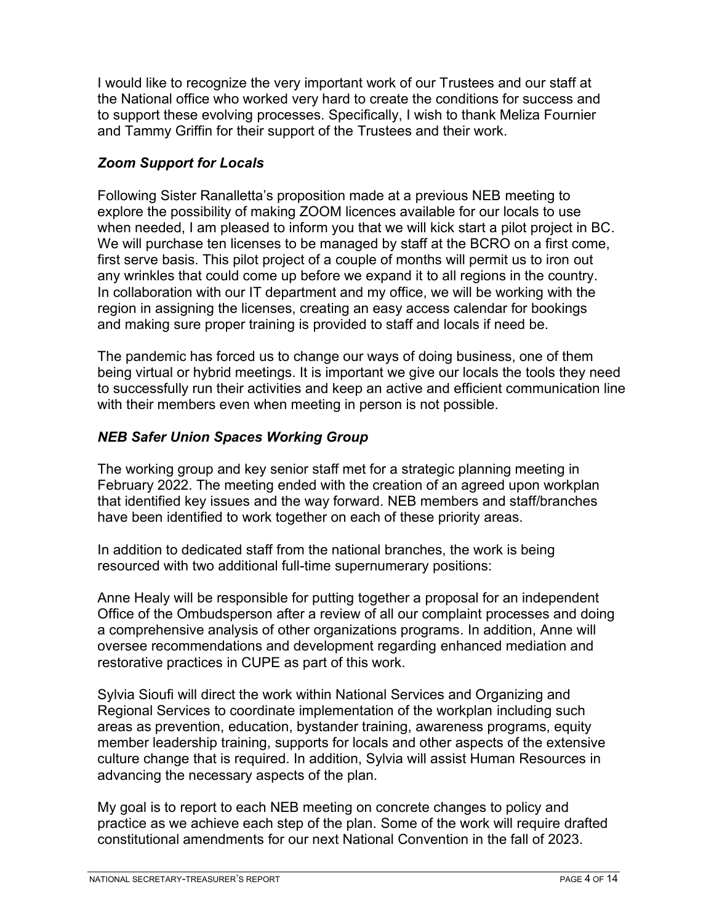I would like to recognize the very important work of our Trustees and our staff at the National office who worked very hard to create the conditions for success and to support these evolving processes. Specifically, I wish to thank Meliza Fournier and Tammy Griffin for their support of the Trustees and their work.

## *Zoom Support for Locals*

Following Sister Ranalletta's proposition made at a previous NEB meeting to explore the possibility of making ZOOM licences available for our locals to use when needed, I am pleased to inform you that we will kick start a pilot project in BC. We will purchase ten licenses to be managed by staff at the BCRO on a first come, first serve basis. This pilot project of a couple of months will permit us to iron out any wrinkles that could come up before we expand it to all regions in the country. In collaboration with our IT department and my office, we will be working with the region in assigning the licenses, creating an easy access calendar for bookings and making sure proper training is provided to staff and locals if need be.

The pandemic has forced us to change our ways of doing business, one of them being virtual or hybrid meetings. It is important we give our locals the tools they need to successfully run their activities and keep an active and efficient communication line with their members even when meeting in person is not possible.

# *NEB Safer Union Spaces Working Group*

The working group and key senior staff met for a strategic planning meeting in February 2022. The meeting ended with the creation of an agreed upon workplan that identified key issues and the way forward. NEB members and staff/branches have been identified to work together on each of these priority areas.

In addition to dedicated staff from the national branches, the work is being resourced with two additional full-time supernumerary positions:

Anne Healy will be responsible for putting together a proposal for an independent Office of the Ombudsperson after a review of all our complaint processes and doing a comprehensive analysis of other organizations programs. In addition, Anne will oversee recommendations and development regarding enhanced mediation and restorative practices in CUPE as part of this work.

Sylvia Sioufi will direct the work within National Services and Organizing and Regional Services to coordinate implementation of the workplan including such areas as prevention, education, bystander training, awareness programs, equity member leadership training, supports for locals and other aspects of the extensive culture change that is required. In addition, Sylvia will assist Human Resources in advancing the necessary aspects of the plan.

My goal is to report to each NEB meeting on concrete changes to policy and practice as we achieve each step of the plan. Some of the work will require drafted constitutional amendments for our next National Convention in the fall of 2023.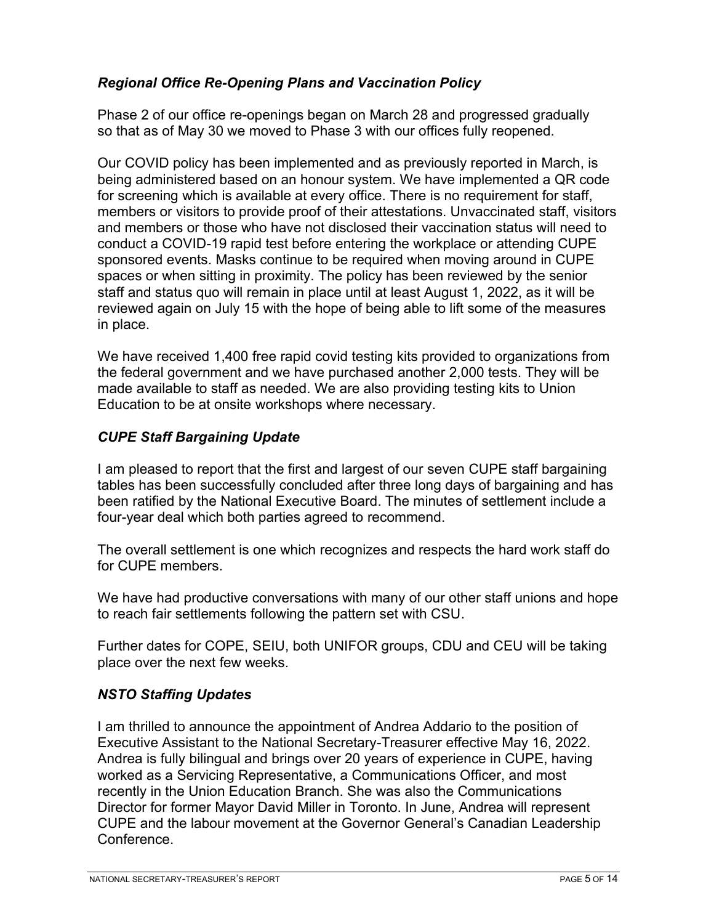## *Regional Office Re-Opening Plans and Vaccination Policy*

Phase 2 of our office re-openings began on March 28 and progressed gradually so that as of May 30 we moved to Phase 3 with our offices fully reopened.

Our COVID policy has been implemented and as previously reported in March, is being administered based on an honour system. We have implemented a QR code for screening which is available at every office. There is no requirement for staff, members or visitors to provide proof of their attestations. Unvaccinated staff, visitors and members or those who have not disclosed their vaccination status will need to conduct a COVID-19 rapid test before entering the workplace or attending CUPE sponsored events. Masks continue to be required when moving around in CUPE spaces or when sitting in proximity. The policy has been reviewed by the senior staff and status quo will remain in place until at least August 1, 2022, as it will be reviewed again on July 15 with the hope of being able to lift some of the measures in place.

We have received 1,400 free rapid covid testing kits provided to organizations from the federal government and we have purchased another 2,000 tests. They will be made available to staff as needed. We are also providing testing kits to Union Education to be at onsite workshops where necessary.

## *CUPE Staff Bargaining Update*

I am pleased to report that the first and largest of our seven CUPE staff bargaining tables has been successfully concluded after three long days of bargaining and has been ratified by the National Executive Board. The minutes of settlement include a four-year deal which both parties agreed to recommend.

The overall settlement is one which recognizes and respects the hard work staff do for CUPE members.

We have had productive conversations with many of our other staff unions and hope to reach fair settlements following the pattern set with CSU.

Further dates for COPE, SEIU, both UNIFOR groups, CDU and CEU will be taking place over the next few weeks.

## *NSTO Staffing Updates*

I am thrilled to announce the appointment of Andrea Addario to the position of Executive Assistant to the National Secretary-Treasurer effective May 16, 2022. Andrea is fully bilingual and brings over 20 years of experience in CUPE, having worked as a Servicing Representative, a Communications Officer, and most recently in the Union Education Branch. She was also the Communications Director for former Mayor David Miller in Toronto. In June, Andrea will represent CUPE and the labour movement at the Governor General's Canadian Leadership Conference.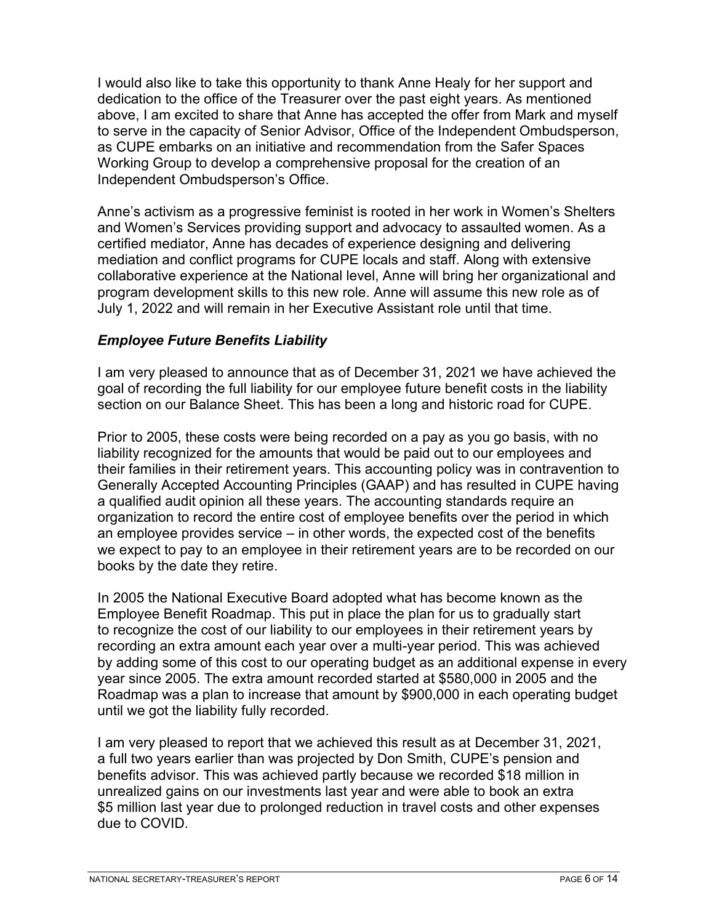I would also like to take this opportunity to thank Anne Healy for her support and dedication to the office of the Treasurer over the past eight years. As mentioned above, I am excited to share that Anne has accepted the offer from Mark and myself to serve in the capacity of Senior Advisor, Office of the Independent Ombudsperson, as CUPE embarks on an initiative and recommendation from the Safer Spaces Working Group to develop a comprehensive proposal for the creation of an Independent Ombudsperson's Office.

Anne's activism as a progressive feminist is rooted in her work in Women's Shelters and Women's Services providing support and advocacy to assaulted women. As a certified mediator, Anne has decades of experience designing and delivering mediation and conflict programs for CUPE locals and staff. Along with extensive collaborative experience at the National level, Anne will bring her organizational and program development skills to this new role. Anne will assume this new role as of July 1, 2022 and will remain in her Executive Assistant role until that time.

# *Employee Future Benefits Liability*

I am very pleased to announce that as of December 31, 2021 we have achieved the goal of recording the full liability for our employee future benefit costs in the liability section on our Balance Sheet. This has been a long and historic road for CUPE.

Prior to 2005, these costs were being recorded on a pay as you go basis, with no liability recognized for the amounts that would be paid out to our employees and their families in their retirement years. This accounting policy was in contravention to Generally Accepted Accounting Principles (GAAP) and has resulted in CUPE having a qualified audit opinion all these years. The accounting standards require an organization to record the entire cost of employee benefits over the period in which an employee provides service – in other words, the expected cost of the benefits we expect to pay to an employee in their retirement years are to be recorded on our books by the date they retire.

In 2005 the National Executive Board adopted what has become known as the Employee Benefit Roadmap. This put in place the plan for us to gradually start to recognize the cost of our liability to our employees in their retirement years by recording an extra amount each year over a multi-year period. This was achieved by adding some of this cost to our operating budget as an additional expense in every year since 2005. The extra amount recorded started at \$580,000 in 2005 and the Roadmap was a plan to increase that amount by \$900,000 in each operating budget until we got the liability fully recorded.

I am very pleased to report that we achieved this result as at December 31, 2021, a full two years earlier than was projected by Don Smith, CUPE's pension and benefits advisor. This was achieved partly because we recorded \$18 million in unrealized gains on our investments last year and were able to book an extra \$5 million last year due to prolonged reduction in travel costs and other expenses due to COVID.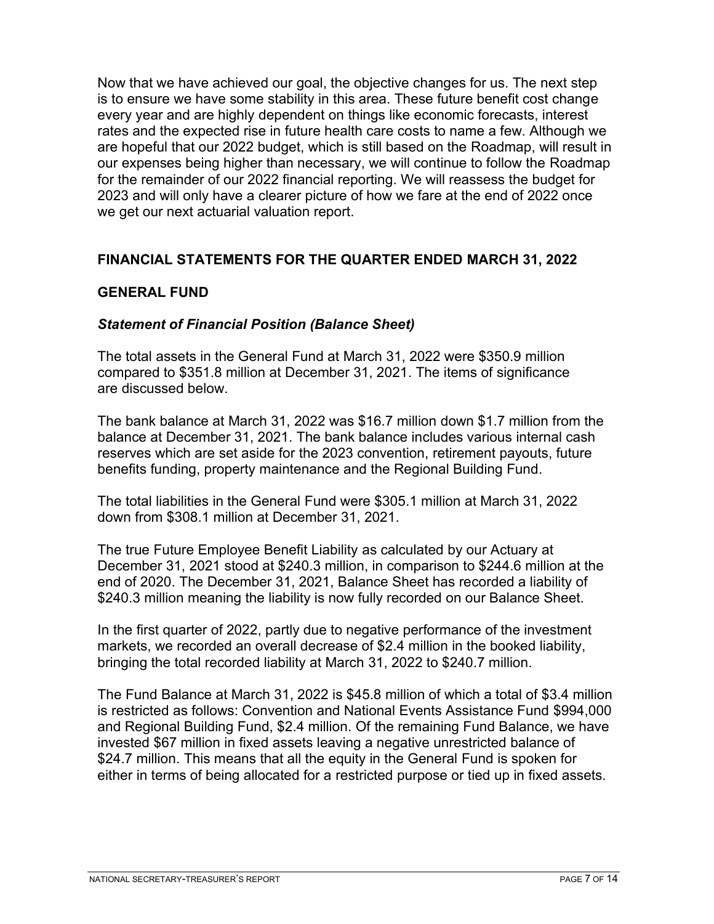Now that we have achieved our goal, the objective changes for us. The next step is to ensure we have some stability in this area. These future benefit cost change every year and are highly dependent on things like economic forecasts, interest rates and the expected rise in future health care costs to name a few. Although we are hopeful that our 2022 budget, which is still based on the Roadmap, will result in our expenses being higher than necessary, we will continue to follow the Roadmap for the remainder of our 2022 financial reporting. We will reassess the budget for 2023 and will only have a clearer picture of how we fare at the end of 2022 once we get our next actuarial valuation report.

## **FINANCIAL STATEMENTS FOR THE QUARTER ENDED MARCH 31, 2022**

#### **GENERAL FUND**

#### *Statement of Financial Position (Balance Sheet)*

The total assets in the General Fund at March 31, 2022 were \$350.9 million compared to \$351.8 million at December 31, 2021. The items of significance are discussed below.

The bank balance at March 31, 2022 was \$16.7 million down \$1.7 million from the balance at December 31, 2021. The bank balance includes various internal cash reserves which are set aside for the 2023 convention, retirement payouts, future benefits funding, property maintenance and the Regional Building Fund.

The total liabilities in the General Fund were \$305.1 million at March 31, 2022 down from \$308.1 million at December 31, 2021.

The true Future Employee Benefit Liability as calculated by our Actuary at December 31, 2021 stood at \$240.3 million, in comparison to \$244.6 million at the end of 2020. The December 31, 2021, Balance Sheet has recorded a liability of \$240.3 million meaning the liability is now fully recorded on our Balance Sheet.

In the first quarter of 2022, partly due to negative performance of the investment markets, we recorded an overall decrease of \$2.4 million in the booked liability, bringing the total recorded liability at March 31, 2022 to \$240.7 million.

The Fund Balance at March 31, 2022 is \$45.8 million of which a total of \$3.4 million is restricted as follows: Convention and National Events Assistance Fund \$994,000 and Regional Building Fund, \$2.4 million. Of the remaining Fund Balance, we have invested \$67 million in fixed assets leaving a negative unrestricted balance of \$24.7 million. This means that all the equity in the General Fund is spoken for either in terms of being allocated for a restricted purpose or tied up in fixed assets.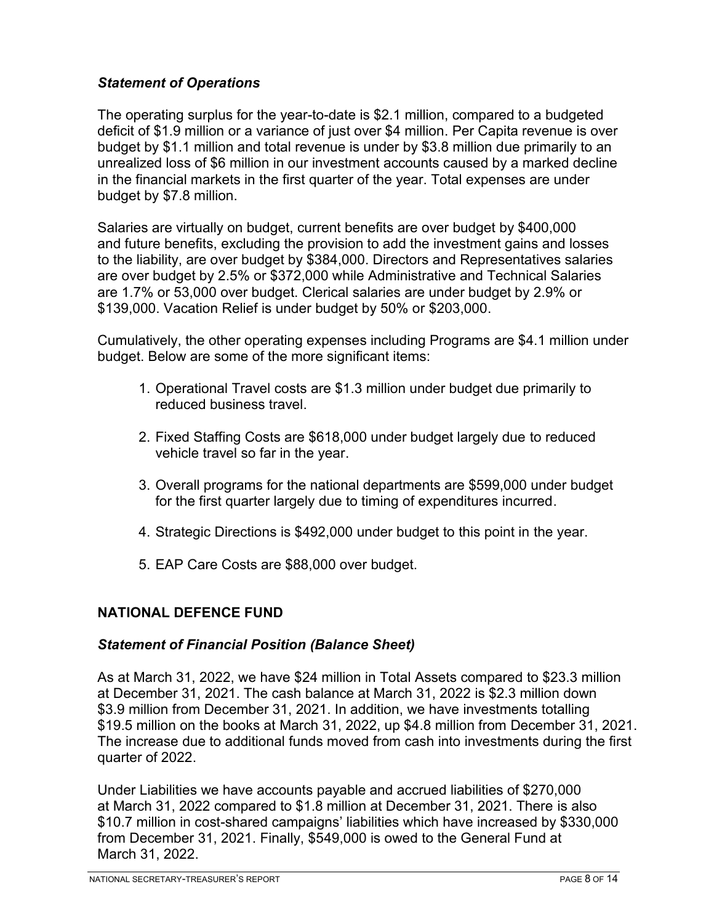## *Statement of Operations*

The operating surplus for the year-to-date is \$2.1 million, compared to a budgeted deficit of \$1.9 million or a variance of just over \$4 million. Per Capita revenue is over budget by \$1.1 million and total revenue is under by \$3.8 million due primarily to an unrealized loss of \$6 million in our investment accounts caused by a marked decline in the financial markets in the first quarter of the year. Total expenses are under budget by \$7.8 million.

Salaries are virtually on budget, current benefits are over budget by \$400,000 and future benefits, excluding the provision to add the investment gains and losses to the liability, are over budget by \$384,000. Directors and Representatives salaries are over budget by 2.5% or \$372,000 while Administrative and Technical Salaries are 1.7% or 53,000 over budget. Clerical salaries are under budget by 2.9% or \$139,000. Vacation Relief is under budget by 50% or \$203,000.

Cumulatively, the other operating expenses including Programs are \$4.1 million under budget. Below are some of the more significant items:

- 1. Operational Travel costs are \$1.3 million under budget due primarily to reduced business travel.
- 2. Fixed Staffing Costs are \$618,000 under budget largely due to reduced vehicle travel so far in the year.
- 3. Overall programs for the national departments are \$599,000 under budget for the first quarter largely due to timing of expenditures incurred.
- 4. Strategic Directions is \$492,000 under budget to this point in the year.
- 5. EAP Care Costs are \$88,000 over budget.

#### **NATIONAL DEFENCE FUND**

#### *Statement of Financial Position (Balance Sheet)*

As at March 31, 2022, we have \$24 million in Total Assets compared to \$23.3 million at December 31, 2021. The cash balance at March 31, 2022 is \$2.3 million down \$3.9 million from December 31, 2021. In addition, we have investments totalling \$19.5 million on the books at March 31, 2022, up \$4.8 million from December 31, 2021. The increase due to additional funds moved from cash into investments during the first quarter of 2022.

Under Liabilities we have accounts payable and accrued liabilities of \$270,000 at March 31, 2022 compared to \$1.8 million at December 31, 2021. There is also \$10.7 million in cost-shared campaigns' liabilities which have increased by \$330,000 from December 31, 2021. Finally, \$549,000 is owed to the General Fund at March 31, 2022.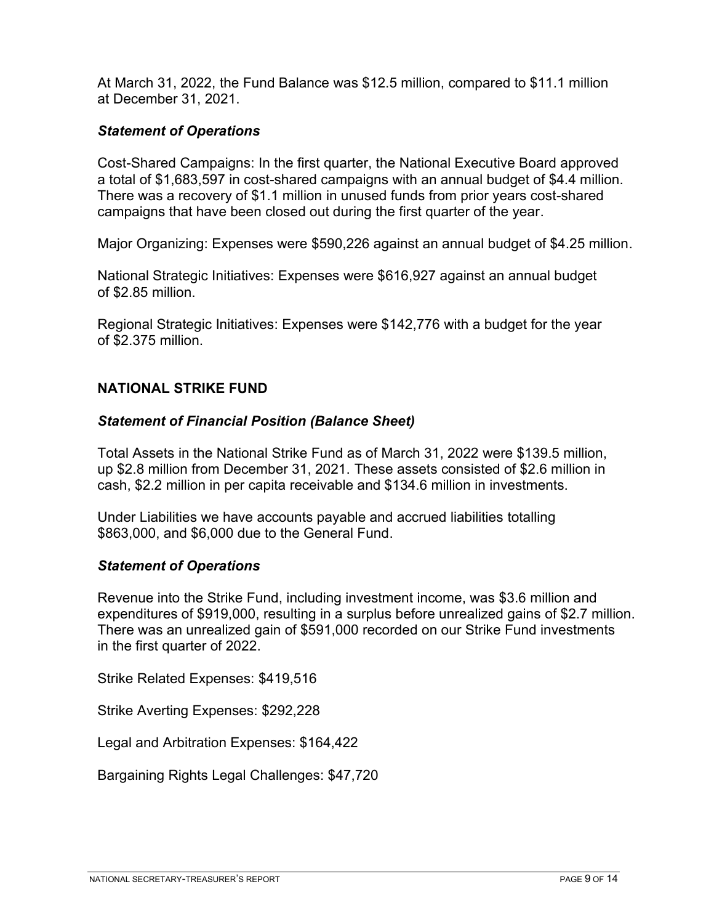At March 31, 2022, the Fund Balance was \$12.5 million, compared to \$11.1 million at December 31, 2021.

### *Statement of Operations*

Cost-Shared Campaigns: In the first quarter, the National Executive Board approved a total of \$1,683,597 in cost-shared campaigns with an annual budget of \$4.4 million. There was a recovery of \$1.1 million in unused funds from prior years cost-shared campaigns that have been closed out during the first quarter of the year.

Major Organizing: Expenses were \$590,226 against an annual budget of \$4.25 million.

National Strategic Initiatives: Expenses were \$616,927 against an annual budget of \$2.85 million.

Regional Strategic Initiatives: Expenses were \$142,776 with a budget for the year of \$2.375 million.

#### **NATIONAL STRIKE FUND**

#### *Statement of Financial Position (Balance Sheet)*

Total Assets in the National Strike Fund as of March 31, 2022 were \$139.5 million, up \$2.8 million from December 31, 2021. These assets consisted of \$2.6 million in cash, \$2.2 million in per capita receivable and \$134.6 million in investments.

Under Liabilities we have accounts payable and accrued liabilities totalling \$863,000, and \$6,000 due to the General Fund.

#### *Statement of Operations*

Revenue into the Strike Fund, including investment income, was \$3.6 million and expenditures of \$919,000, resulting in a surplus before unrealized gains of \$2.7 million. There was an unrealized gain of \$591,000 recorded on our Strike Fund investments in the first quarter of 2022.

Strike Related Expenses: \$419,516

Strike Averting Expenses: \$292,228

Legal and Arbitration Expenses: \$164,422

Bargaining Rights Legal Challenges: \$47,720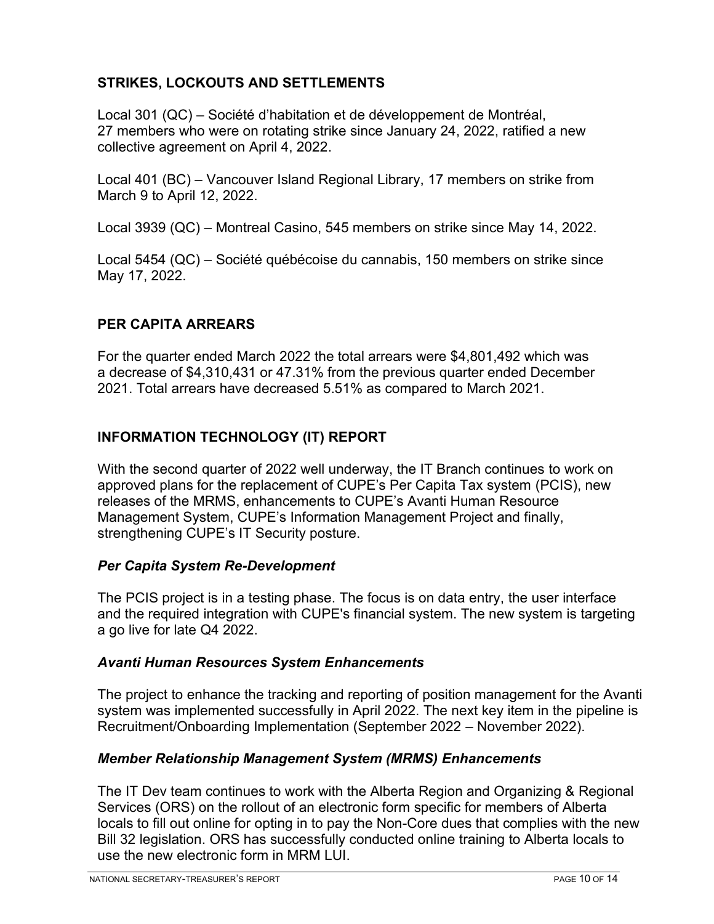# **STRIKES, LOCKOUTS AND SETTLEMENTS**

Local 301 (QC) – Société d'habitation et de développement de Montréal, 27 members who were on rotating strike since January 24, 2022, ratified a new collective agreement on April 4, 2022.

Local 401 (BC) – Vancouver Island Regional Library, 17 members on strike from March 9 to April 12, 2022.

Local 3939 (QC) – Montreal Casino, 545 members on strike since May 14, 2022.

Local 5454 (QC) – Société québécoise du cannabis, 150 members on strike since May 17, 2022.

# **PER CAPITA ARREARS**

For the quarter ended March 2022 the total arrears were \$4,801,492 which was a decrease of \$4,310,431 or 47.31% from the previous quarter ended December 2021. Total arrears have decreased 5.51% as compared to March 2021.

# **INFORMATION TECHNOLOGY (IT) REPORT**

With the second quarter of 2022 well underway, the IT Branch continues to work on approved plans for the replacement of CUPE's Per Capita Tax system (PCIS), new releases of the MRMS, enhancements to CUPE's Avanti Human Resource Management System, CUPE's Information Management Project and finally, strengthening CUPE's IT Security posture.

## *Per Capita System Re-Development*

The PCIS project is in a testing phase. The focus is on data entry, the user interface and the required integration with CUPE's financial system. The new system is targeting a go live for late Q4 2022.

## *Avanti Human Resources System Enhancements*

The project to enhance the tracking and reporting of position management for the Avanti system was implemented successfully in April 2022. The next key item in the pipeline is Recruitment/Onboarding Implementation (September 2022 – November 2022).

## *Member Relationship Management System (MRMS) Enhancements*

The IT Dev team continues to work with the Alberta Region and Organizing & Regional Services (ORS) on the rollout of an electronic form specific for members of Alberta locals to fill out online for opting in to pay the Non-Core dues that complies with the new Bill 32 legislation. ORS has successfully conducted online training to Alberta locals to use the new electronic form in MRM LUI.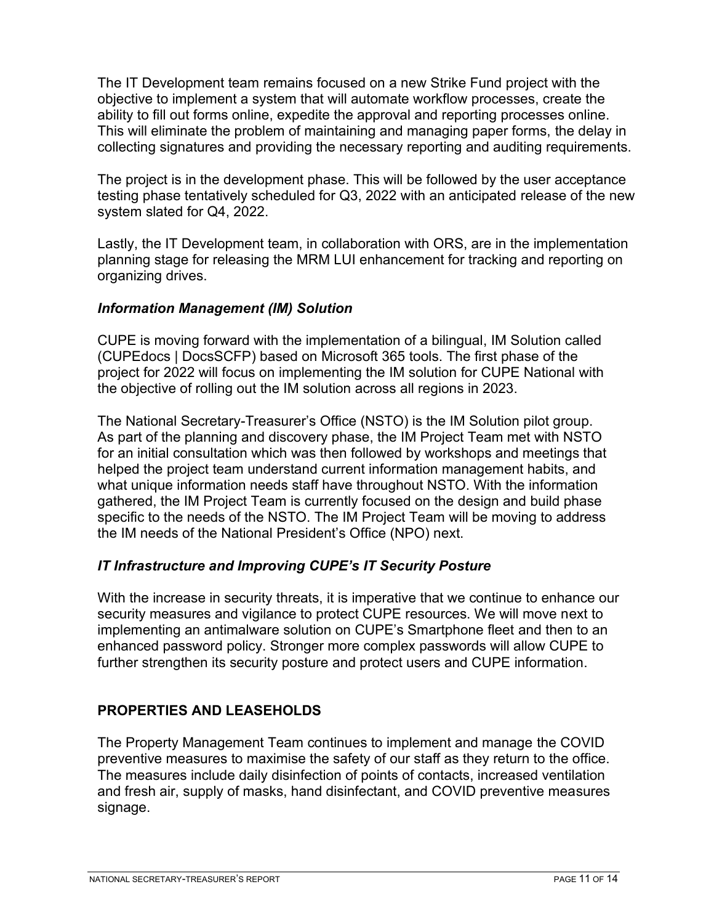The IT Development team remains focused on a new Strike Fund project with the objective to implement a system that will automate workflow processes, create the ability to fill out forms online, expedite the approval and reporting processes online. This will eliminate the problem of maintaining and managing paper forms, the delay in collecting signatures and providing the necessary reporting and auditing requirements.

The project is in the development phase. This will be followed by the user acceptance testing phase tentatively scheduled for Q3, 2022 with an anticipated release of the new system slated for Q4, 2022.

Lastly, the IT Development team, in collaboration with ORS, are in the implementation planning stage for releasing the MRM LUI enhancement for tracking and reporting on organizing drives.

### *Information Management (IM) Solution*

CUPE is moving forward with the implementation of a bilingual, IM Solution called (CUPEdocs | DocsSCFP) based on Microsoft 365 tools. The first phase of the project for 2022 will focus on implementing the IM solution for CUPE National with the objective of rolling out the IM solution across all regions in 2023.

The National Secretary-Treasurer's Office (NSTO) is the IM Solution pilot group. As part of the planning and discovery phase, the IM Project Team met with NSTO for an initial consultation which was then followed by workshops and meetings that helped the project team understand current information management habits, and what unique information needs staff have throughout NSTO. With the information gathered, the IM Project Team is currently focused on the design and build phase specific to the needs of the NSTO. The IM Project Team will be moving to address the IM needs of the National President's Office (NPO) next.

## *IT Infrastructure and Improving CUPE's IT Security Posture*

With the increase in security threats, it is imperative that we continue to enhance our security measures and vigilance to protect CUPE resources. We will move next to implementing an antimalware solution on CUPE's Smartphone fleet and then to an enhanced password policy. Stronger more complex passwords will allow CUPE to further strengthen its security posture and protect users and CUPE information.

# **PROPERTIES AND LEASEHOLDS**

The Property Management Team continues to implement and manage the COVID preventive measures to maximise the safety of our staff as they return to the office. The measures include daily disinfection of points of contacts, increased ventilation and fresh air, supply of masks, hand disinfectant, and COVID preventive measures signage.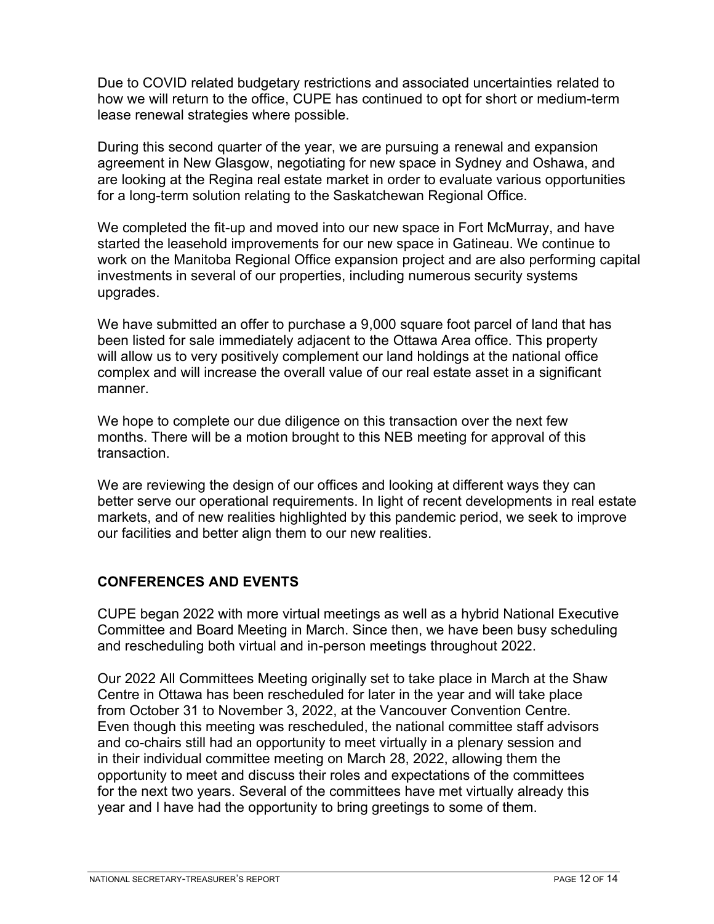Due to COVID related budgetary restrictions and associated uncertainties related to how we will return to the office, CUPE has continued to opt for short or medium-term lease renewal strategies where possible.

During this second quarter of the year, we are pursuing a renewal and expansion agreement in New Glasgow, negotiating for new space in Sydney and Oshawa, and are looking at the Regina real estate market in order to evaluate various opportunities for a long-term solution relating to the Saskatchewan Regional Office.

We completed the fit-up and moved into our new space in Fort McMurray, and have started the leasehold improvements for our new space in Gatineau. We continue to work on the Manitoba Regional Office expansion project and are also performing capital investments in several of our properties, including numerous security systems upgrades.

We have submitted an offer to purchase a 9,000 square foot parcel of land that has been listed for sale immediately adjacent to the Ottawa Area office. This property will allow us to very positively complement our land holdings at the national office complex and will increase the overall value of our real estate asset in a significant manner.

We hope to complete our due diligence on this transaction over the next few months. There will be a motion brought to this NEB meeting for approval of this transaction.

We are reviewing the design of our offices and looking at different ways they can better serve our operational requirements. In light of recent developments in real estate markets, and of new realities highlighted by this pandemic period, we seek to improve our facilities and better align them to our new realities.

## **CONFERENCES AND EVENTS**

CUPE began 2022 with more virtual meetings as well as a hybrid National Executive Committee and Board Meeting in March. Since then, we have been busy scheduling and rescheduling both virtual and in-person meetings throughout 2022.

Our 2022 All Committees Meeting originally set to take place in March at the Shaw Centre in Ottawa has been rescheduled for later in the year and will take place from October 31 to November 3, 2022, at the Vancouver Convention Centre. Even though this meeting was rescheduled, the national committee staff advisors and co-chairs still had an opportunity to meet virtually in a plenary session and in their individual committee meeting on March 28, 2022, allowing them the opportunity to meet and discuss their roles and expectations of the committees for the next two years. Several of the committees have met virtually already this year and I have had the opportunity to bring greetings to some of them.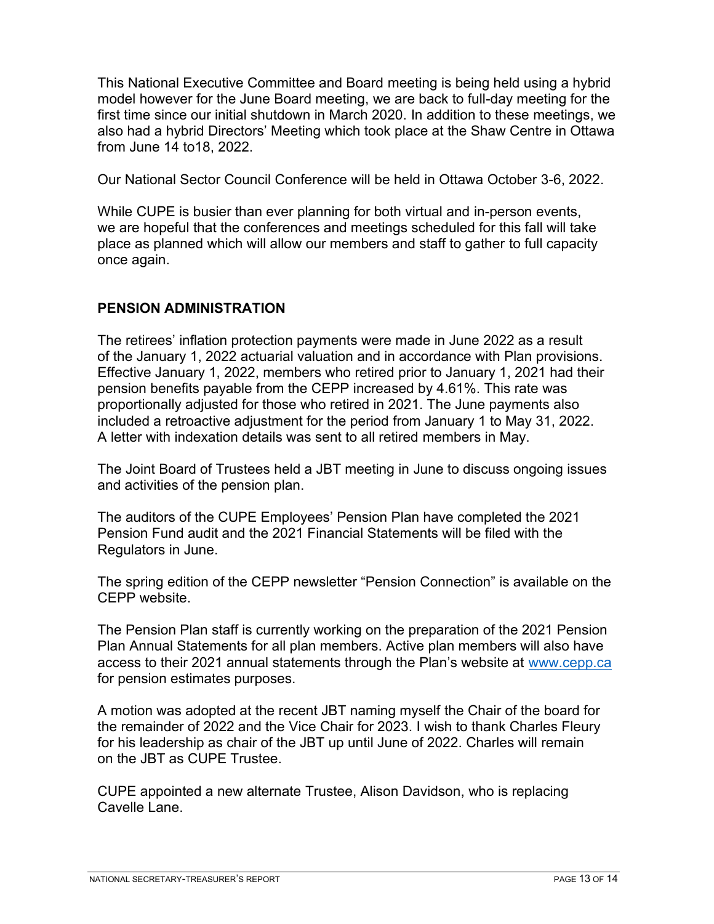This National Executive Committee and Board meeting is being held using a hybrid model however for the June Board meeting, we are back to full-day meeting for the first time since our initial shutdown in March 2020. In addition to these meetings, we also had a hybrid Directors' Meeting which took place at the Shaw Centre in Ottawa from June 14 to18, 2022.

Our National Sector Council Conference will be held in Ottawa October 3-6, 2022.

While CUPE is busier than ever planning for both virtual and in-person events, we are hopeful that the conferences and meetings scheduled for this fall will take place as planned which will allow our members and staff to gather to full capacity once again.

# **PENSION ADMINISTRATION**

The retirees' inflation protection payments were made in June 2022 as a result of the January 1, 2022 actuarial valuation and in accordance with Plan provisions. Effective January 1, 2022, members who retired prior to January 1, 2021 had their pension benefits payable from the CEPP increased by 4.61%. This rate was proportionally adjusted for those who retired in 2021. The June payments also included a retroactive adjustment for the period from January 1 to May 31, 2022. A letter with indexation details was sent to all retired members in May.

The Joint Board of Trustees held a JBT meeting in June to discuss ongoing issues and activities of the pension plan.

The auditors of the CUPE Employees' Pension Plan have completed the 2021 Pension Fund audit and the 2021 Financial Statements will be filed with the Regulators in June.

The spring edition of the CEPP newsletter "Pension Connection" is available on the CEPP website.

The Pension Plan staff is currently working on the preparation of the 2021 Pension Plan Annual Statements for all plan members. Active plan members will also have access to their 2021 annual statements through the Plan's website at [www.cepp.ca](http://www.cepp.ca/) for pension estimates purposes.

A motion was adopted at the recent JBT naming myself the Chair of the board for the remainder of 2022 and the Vice Chair for 2023. I wish to thank Charles Fleury for his leadership as chair of the JBT up until June of 2022. Charles will remain on the JBT as CUPE Trustee.

CUPE appointed a new alternate Trustee, Alison Davidson, who is replacing Cavelle Lane.